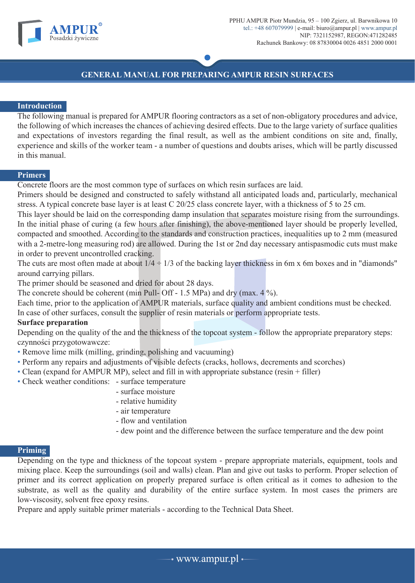

# **GENERAL MANUAL FOR PREPARING AMPUR RESIN SURFACES**

### **Introduction**

The following manual is prepared for AMPUR flooring contractors as a set of non-obligatory procedures and advice, the following of which increases the chances of achieving desired effects. Due to the large variety of surface qualities and expectations of investors regarding the final result, as well as the ambient conditions on site and, finally, experience and skills of the worker team - a number of questions and doubts arises, which will be partly discussed in this manual.

#### **Primers**

Concrete floors are the most common type of surfaces on which resin surfaces are laid.

Primers should be designed and constructed to safely withstand all anticipated loads and, particularly, mechanical stress. A typical concrete base layer is at least C 20/25 class concrete layer, with a thickness of 5 to 25 cm.

This layer should be laid on the corresponding damp insulation that separates moisture rising from the surroundings. In the initial phase of curing (a few hours after finishing), the above-mentioned layer should be properly levelled, compacted and smoothed. According to the standards and construction practices, inequalities up to 2 mm (measured with a 2-metre-long measuring rod) are allowed. During the 1st or 2nd day necessary antispasmodic cuts must make in order to prevent uncontrolled cracking.

The cuts are most often made at about  $1/4 \div 1/3$  of the backing layer thickness in 6m x 6m boxes and in "diamonds" around carrying pillars.

The primer should be seasoned and dried for about 28 days.

The concrete should be coherent (min Pull- Off - 1.5 MPa) and dry (max.  $4\%$ ).

Each time, prior to the application of AMPUR materials, surface quality and ambient conditions must be checked.

In case of other surfaces, consult the supplier of resin materials or perform appropriate tests.

## **Surface preparation**

Depending on the quality of the and the thickness of the topcoat system - follow the appropriate preparatory steps: czynności przygotowawcze:

- Remove lime milk (milling, grinding, polishing and vacuuming)
- Perform any repairs and adjustments of visible defects (cracks, hollows, decrements and scorches)
- Clean (expand for AMPUR MP), select and fill in with appropriate substance (resin + filler)
- Check weather conditions: surface temperature
	- surface moisture
	- relative humidity
	- air temperature
	- flow and ventilation
	- dew point and the difference between the surface temperature and the dew point

#### **Priming**

Depending on the type and thickness of the topcoat system - prepare appropriate materials, equipment, tools and mixing place. Keep the surroundings (soil and walls) clean. Plan and give out tasks to perform. Proper selection of primer and its correct application on properly prepared surface is often critical as it comes to adhesion to the substrate, as well as the quality and durability of the entire surface system. In most cases the primers are low-viscosity, solvent free epoxy resins.

Prepare and apply suitable primer materials - according to the Technical Data Sheet.